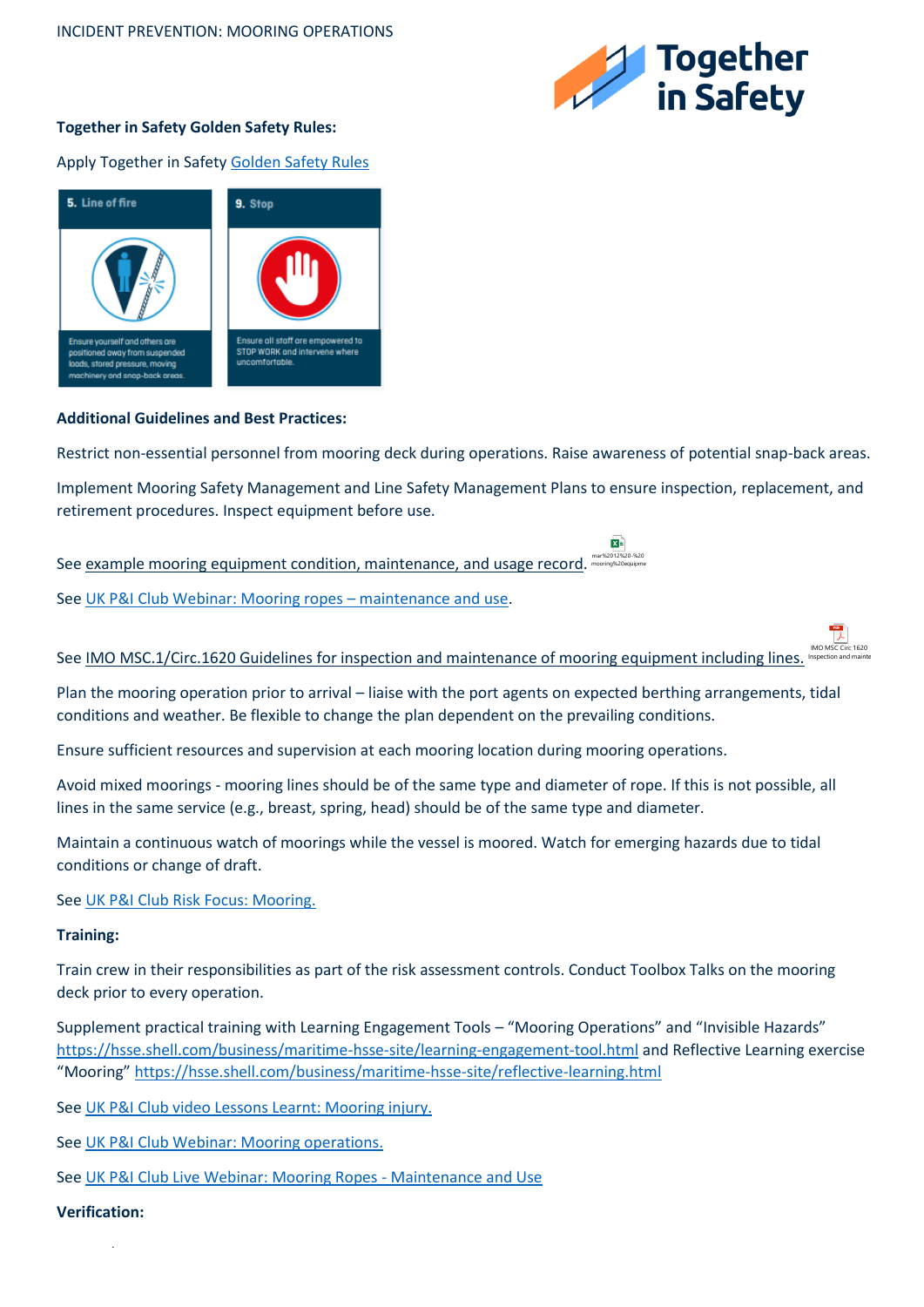

**ME** 

## **Together in Safety Golden Safety Rules:**

Apply Together in Safet[y Golden Safety Rules](https://togetherinsafety.info/wp-content/uploads/2020/07/Golden-Safety-Rules.pdf)



## **Additional Guidelines and Best Practices:**

Restrict non-essential personnel from mooring deck during operations. Raise awareness of potential snap-back areas.

Implement Mooring Safety Management and Line Safety Management Plans to ensure inspection, replacement, and retirement procedures. Inspect equipment before use.

See example mooring equipment condition, maintenance, and usage record. mar%2012%20-%20 mooring%20equipment%20condition,%20maintenance%20and%20usage%20record.xlsx

See [UK P&I Club Webinar: Mooring ropes](https://www.ukpandi.com/news-and-resources/videos/uk-pi-club-live-webinar-series-19-mooring-ropes---maintenance-and-use/) – maintenance and use.

## See IMO MSC.1/Circ.1620 Guidelines for inspection and maintenance of mooring equipment including lines. IMO MSC Circ 1620 Inspection and mainte

Plan the mooring operation prior to arrival – liaise with the port agents on expected berthing arrangements, tidal conditions and weather. Be flexible to change the plan dependent on the prevailing conditions.

Ensure sufficient resources and supervision at each mooring location during mooring operations.

Avoid mixed moorings - mooring lines should be of the same type and diameter of rope. If this is not possible, all lines in the same service (e.g., breast, spring, head) should be of the same type and diameter.

Maintain a continuous watch of moorings while the vessel is moored. Watch for emerging hazards due to tidal conditions or change of draft.

See [UK P&I Club Risk Focus: Mooring.](https://www.ukpandi.com/news-and-resources/bulletins/2016/risk-focus-mooring/)

## **Training:**

Train crew in their responsibilities as part of the risk assessment controls. Conduct Toolbox Talks on the mooring deck prior to every operation.

Supplement practical training with Learning Engagement Tools – "Mooring Operations" and "Invisible Hazards" <https://hsse.shell.com/business/maritime-hsse-site/learning-engagement-tool.html> and Reflective Learning exercise "Mooring" <https://hsse.shell.com/business/maritime-hsse-site/reflective-learning.html>

See [UK P&I Club video Lessons Learnt: Mooring injury.](https://www.ukpandi.com/news-and-resources/videos/lessons-learnt-mooring-injury/)

See [UK P&I Club Webinar: Mooring operations.](https://www.ukpandi.com/news-and-resources/videos/article-njdn/)

See [UK P&I Club Live Webinar: Mooring Ropes -](https://www.ukpandi.com/news-and-resources/videos/uk-pi-club-live-webinar-series-19-mooring-ropes---maintenance-and-use/) Maintenance and Use

**Verification:**

.